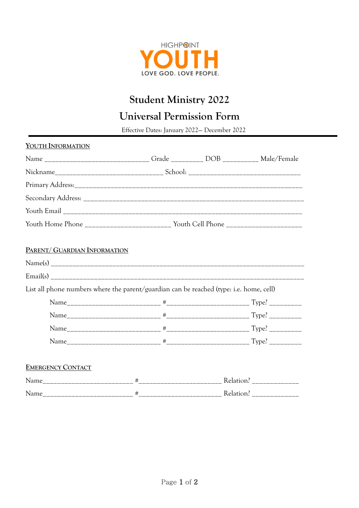

## **Student Ministry 2022**

## **Universal Permission Form**

Effective Dates: January 2022— December <sup>2022</sup>

| YOUTH INFORMATION                                                                       |  |  |  |
|-----------------------------------------------------------------------------------------|--|--|--|
| Name _______________________________Grade ___________ DOB __________ Male/Female        |  |  |  |
|                                                                                         |  |  |  |
|                                                                                         |  |  |  |
|                                                                                         |  |  |  |
|                                                                                         |  |  |  |
|                                                                                         |  |  |  |
| PARENT/ GUARDIAN INFORMATION                                                            |  |  |  |
|                                                                                         |  |  |  |
|                                                                                         |  |  |  |
| List all phone numbers where the parent/guardian can be reached (type: i.e. home, cell) |  |  |  |
|                                                                                         |  |  |  |
|                                                                                         |  |  |  |
|                                                                                         |  |  |  |
|                                                                                         |  |  |  |
| <b>EMERGENCY CONTACT</b>                                                                |  |  |  |
|                                                                                         |  |  |  |
|                                                                                         |  |  |  |